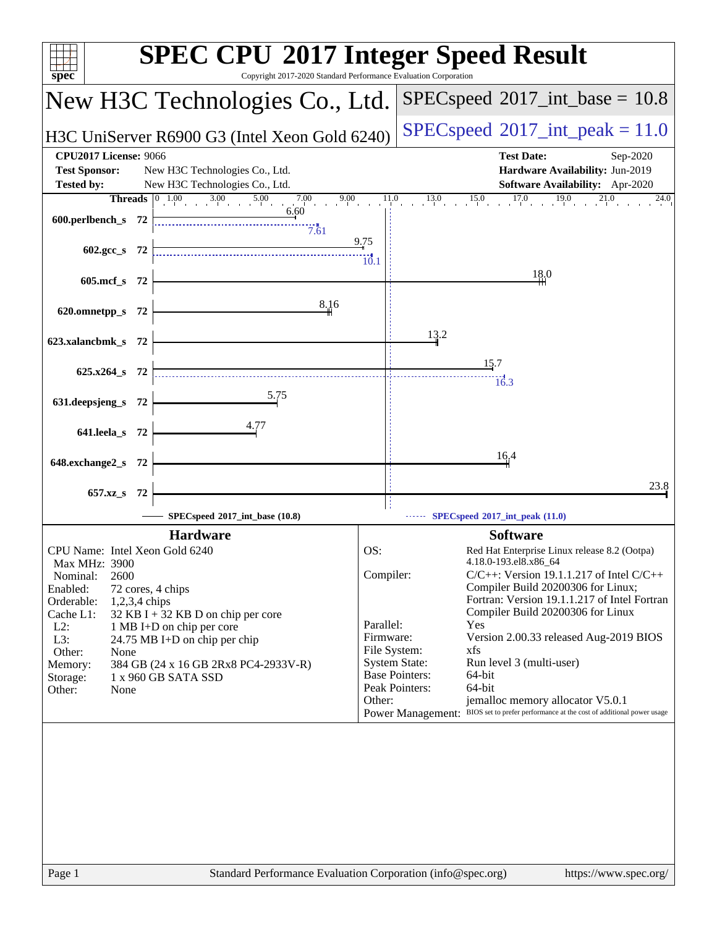| spec <sup>®</sup>                                                                                                                                  | <b>SPEC CPU®2017 Integer Speed Result</b><br>Copyright 2017-2020 Standard Performance Evaluation Corporation                            |
|----------------------------------------------------------------------------------------------------------------------------------------------------|-----------------------------------------------------------------------------------------------------------------------------------------|
| New H3C Technologies Co., Ltd.                                                                                                                     | $SPEC speed^{\circ}2017\_int\_base = 10.8$                                                                                              |
| H3C UniServer R6900 G3 (Intel Xeon Gold 6240)                                                                                                      | $SPEC speed^{\circ}2017\_int\_peak = 11.0$                                                                                              |
| <b>CPU2017 License: 9066</b><br><b>Test Sponsor:</b><br>New H3C Technologies Co., Ltd.<br><b>Tested by:</b><br>New H3C Technologies Co., Ltd.      | <b>Test Date:</b><br>Sep-2020<br>Hardware Availability: Jun-2019<br>Software Availability: Apr-2020                                     |
| <b>Threads</b> $\begin{bmatrix} 0 & 1.00 & 3.00 & 5.00 & 7.00 & 9.00 & 11.0 \\ 1 & 0 & 1 & 0 & 11.0 & 11.0 \\ 0 & 0 & 0 & 0 & 0 & 0 \end{bmatrix}$ | 0 $13.0$ $15.0$ $17.0$ $19.0$ $21.0$<br>24.0                                                                                            |
| 6.60<br>600.perlbench_s 72<br>7.61                                                                                                                 |                                                                                                                                         |
| 602.gcc_s 72                                                                                                                                       | $\frac{9.75}{4}$<br>$\overline{10.1}$                                                                                                   |
| 605.mcf_s 72                                                                                                                                       | 18.0                                                                                                                                    |
| 8.16<br>620.omnetpp_s 72                                                                                                                           |                                                                                                                                         |
| 623.xalancbmk_s 72                                                                                                                                 | 13.2                                                                                                                                    |
| 625.x264_s 72                                                                                                                                      | 15.7<br>$\frac{1}{16.3}$                                                                                                                |
| <u>5.75</u><br>631.deepsjeng_s 72                                                                                                                  |                                                                                                                                         |
| 4.77<br>641.leela_s 72                                                                                                                             |                                                                                                                                         |
| 648.exchange2_s 72                                                                                                                                 | 16,4                                                                                                                                    |
| 657.xz <sub>_8</sub> 72                                                                                                                            | 23.8                                                                                                                                    |
| SPECspeed®2017_int_base (10.8)                                                                                                                     | $\cdots$ SPECspeed <sup>®</sup> 2017_int_peak (11.0)                                                                                    |
| <b>Hardware</b>                                                                                                                                    | <b>Software</b>                                                                                                                         |
| CPU Name: Intel Xeon Gold 6240                                                                                                                     | OS:<br>Red Hat Enterprise Linux release 8.2 (Ootpa)                                                                                     |
| Max MHz: 3900                                                                                                                                      | 4.18.0-193.el8.x86_64                                                                                                                   |
| 2600<br>Nominal:<br>Enabled:<br>72 cores, 4 chips                                                                                                  | Compiler:<br>$C/C++$ : Version 19.1.1.217 of Intel $C/C++$<br>Compiler Build 20200306 for Linux;                                        |
| Orderable:<br>$1,2,3,4$ chips                                                                                                                      | Fortran: Version 19.1.1.217 of Intel Fortran                                                                                            |
| Cache L1:<br>32 KB I + 32 KB D on chip per core                                                                                                    | Compiler Build 20200306 for Linux                                                                                                       |
| $L2$ :<br>1 MB I+D on chip per core<br>L3:<br>24.75 MB I+D on chip per chip                                                                        | Parallel:<br>Yes<br>Firmware:<br>Version 2.00.33 released Aug-2019 BIOS                                                                 |
| Other:<br>None                                                                                                                                     | File System:<br>xfs                                                                                                                     |
| 384 GB (24 x 16 GB 2Rx8 PC4-2933V-R)<br>Memory:                                                                                                    | <b>System State:</b><br>Run level 3 (multi-user)<br><b>Base Pointers:</b><br>64-bit                                                     |
| Storage:<br>1 x 960 GB SATA SSD<br>Other:<br>None                                                                                                  | Peak Pointers:<br>64-bit                                                                                                                |
|                                                                                                                                                    | jemalloc memory allocator V5.0.1<br>Other:<br>BIOS set to prefer performance at the cost of additional power usage<br>Power Management: |
|                                                                                                                                                    |                                                                                                                                         |
| Page 1                                                                                                                                             | Standard Performance Evaluation Corporation (info@spec.org)<br>https://www.spec.org/                                                    |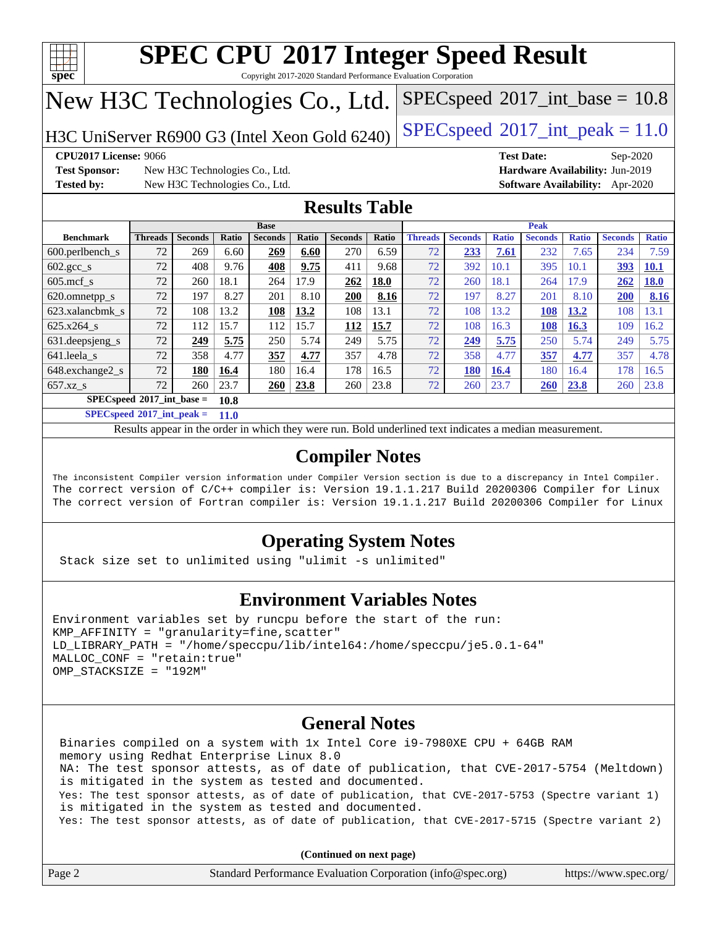

Copyright 2017-2020 Standard Performance Evaluation Corporation

## New H3C Technologies Co., Ltd.

H3C UniServer R6900 G3 (Intel Xeon Gold 6240) [SPECspeed](http://www.spec.org/auto/cpu2017/Docs/result-fields.html#SPECspeed2017intpeak)®2017\_int\_peak =  $11.0$ 

 $SPECspeed^{\circ}2017\_int\_base = 10.8$  $SPECspeed^{\circ}2017\_int\_base = 10.8$ 

**[Test Sponsor:](http://www.spec.org/auto/cpu2017/Docs/result-fields.html#TestSponsor)** New H3C Technologies Co., Ltd. **[Hardware Availability:](http://www.spec.org/auto/cpu2017/Docs/result-fields.html#HardwareAvailability)** Jun-2019 **[Tested by:](http://www.spec.org/auto/cpu2017/Docs/result-fields.html#Testedby)** New H3C Technologies Co., Ltd. **[Software Availability:](http://www.spec.org/auto/cpu2017/Docs/result-fields.html#SoftwareAvailability)** Apr-2020

**[CPU2017 License:](http://www.spec.org/auto/cpu2017/Docs/result-fields.html#CPU2017License)** 9066 **[Test Date:](http://www.spec.org/auto/cpu2017/Docs/result-fields.html#TestDate)** Sep-2020

## **[Results Table](http://www.spec.org/auto/cpu2017/Docs/result-fields.html#ResultsTable)**

|                                     | <b>Base</b>    |                |       |                |       |                |       | <b>Peak</b>    |                |              |                |              |                |              |
|-------------------------------------|----------------|----------------|-------|----------------|-------|----------------|-------|----------------|----------------|--------------|----------------|--------------|----------------|--------------|
| <b>Benchmark</b>                    | <b>Threads</b> | <b>Seconds</b> | Ratio | <b>Seconds</b> | Ratio | <b>Seconds</b> | Ratio | <b>Threads</b> | <b>Seconds</b> | <b>Ratio</b> | <b>Seconds</b> | <b>Ratio</b> | <b>Seconds</b> | <b>Ratio</b> |
| $600.$ perlbench $\mathsf{S}$       | 72             | 269            | 6.60  | 269            | 6.60  | 270            | 6.59  | 72             | 233            | 7.61         | 232            | 7.65         | 234            | 7.59         |
| $602.\text{gcc}\_\text{s}$          | 72             | 408            | 9.76  | 408            | 9.75  | 411            | 9.68  | 72             | 392            | 10.1         | 395            | 10.1         | 393            | <b>10.1</b>  |
| $605$ .mcf s                        | 72             | 260            | 18.1  | 264            | 17.9  | 262            | 18.0  | 72             | 260            | 18.1         | 264            | 17.9         | 262            | <b>18.0</b>  |
| 620.omnetpp_s                       | 72             | 197            | 8.27  | 201            | 8.10  | 200            | 8.16  | 72             | 197            | 8.27         | 201            | 8.10         | <b>200</b>     | 8.16         |
| 623.xalancbmk s                     | 72             | 108            | 13.2  | 108            | 13.2  | 108            | 13.1  | 72             | 108            | 13.2         | 108            | 13.2         | 108            | 13.1         |
| 625.x264 s                          | 72             | 112            | 15.7  | 112            | 15.7  | 112            | 15.7  | 72             | 108            | 16.3         | 108            | 16.3         | 109            | 16.2         |
| 631. deepsjeng_s                    | 72             | 249            | 5.75  | 250            | 5.74  | 249            | 5.75  | 72             | 249            | 5.75         | 250            | 5.74         | 249            | 5.75         |
| 641.leela s                         | 72             | 358            | 4.77  | 357            | 4.77  | 357            | 4.78  | 72             | 358            | 4.77         | 357            | 4.77         | 357            | 4.78         |
| 648.exchange2_s                     | 72             | 180            | 16.4  | 180            | 16.4  | 178            | 16.5  | 72             | 180            | 16.4         | 180            | 16.4         | 178            | 16.5         |
| $657.xz$ s                          | 72             | 260            | 23.7  | 260            | 23.8  | 260            | 23.8  | 72             | 260            | 23.7         | 260            | 23.8         | 260            | 23.8         |
| $SPECspeed*2017$ int base =<br>10.8 |                |                |       |                |       |                |       |                |                |              |                |              |                |              |

**[SPECspeed](http://www.spec.org/auto/cpu2017/Docs/result-fields.html#SPECspeed2017intpeak)[2017\\_int\\_peak =](http://www.spec.org/auto/cpu2017/Docs/result-fields.html#SPECspeed2017intpeak) 11.0**

Results appear in the [order in which they were run.](http://www.spec.org/auto/cpu2017/Docs/result-fields.html#RunOrder) Bold underlined text [indicates a median measurement](http://www.spec.org/auto/cpu2017/Docs/result-fields.html#Median).

## **[Compiler Notes](http://www.spec.org/auto/cpu2017/Docs/result-fields.html#CompilerNotes)**

The inconsistent Compiler version information under Compiler Version section is due to a discrepancy in Intel Compiler. The correct version of C/C++ compiler is: Version 19.1.1.217 Build 20200306 Compiler for Linux The correct version of Fortran compiler is: Version 19.1.1.217 Build 20200306 Compiler for Linux

## **[Operating System Notes](http://www.spec.org/auto/cpu2017/Docs/result-fields.html#OperatingSystemNotes)**

Stack size set to unlimited using "ulimit -s unlimited"

### **[Environment Variables Notes](http://www.spec.org/auto/cpu2017/Docs/result-fields.html#EnvironmentVariablesNotes)**

```
Environment variables set by runcpu before the start of the run:
KMP AFFINITY = "granularity=fine, scatter"
LD_LIBRARY_PATH = "/home/speccpu/lib/intel64:/home/speccpu/je5.0.1-64"
MALLOC_CONF = "retain:true"
OMP_STACKSIZE = "192M"
```
### **[General Notes](http://www.spec.org/auto/cpu2017/Docs/result-fields.html#GeneralNotes)**

 Binaries compiled on a system with 1x Intel Core i9-7980XE CPU + 64GB RAM memory using Redhat Enterprise Linux 8.0 NA: The test sponsor attests, as of date of publication, that CVE-2017-5754 (Meltdown) is mitigated in the system as tested and documented. Yes: The test sponsor attests, as of date of publication, that CVE-2017-5753 (Spectre variant 1) is mitigated in the system as tested and documented. Yes: The test sponsor attests, as of date of publication, that CVE-2017-5715 (Spectre variant 2)

| Page 2 | Standard Performance Evaluation Corporation (info@spec.org) | https://www.spec.org/ |
|--------|-------------------------------------------------------------|-----------------------|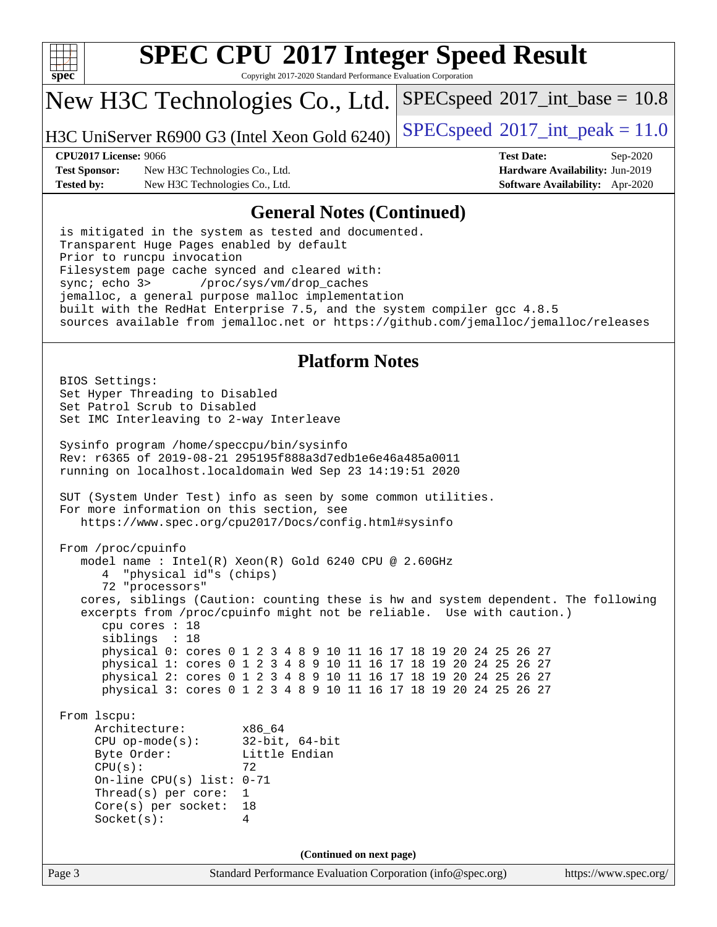

Copyright 2017-2020 Standard Performance Evaluation Corporation

## New H3C Technologies Co., Ltd.

H3C UniServer R6900 G3 (Intel Xeon Gold 6240) [SPECspeed](http://www.spec.org/auto/cpu2017/Docs/result-fields.html#SPECspeed2017intpeak)®2017\_int\_peak =  $11.0$ 

 $SPECspeed^{\circ}2017\_int\_base = 10.8$  $SPECspeed^{\circ}2017\_int\_base = 10.8$ 

**[Test Sponsor:](http://www.spec.org/auto/cpu2017/Docs/result-fields.html#TestSponsor)** New H3C Technologies Co., Ltd. **[Hardware Availability:](http://www.spec.org/auto/cpu2017/Docs/result-fields.html#HardwareAvailability)** Jun-2019 **[Tested by:](http://www.spec.org/auto/cpu2017/Docs/result-fields.html#Testedby)** New H3C Technologies Co., Ltd. **[Software Availability:](http://www.spec.org/auto/cpu2017/Docs/result-fields.html#SoftwareAvailability)** Apr-2020

**[CPU2017 License:](http://www.spec.org/auto/cpu2017/Docs/result-fields.html#CPU2017License)** 9066 **[Test Date:](http://www.spec.org/auto/cpu2017/Docs/result-fields.html#TestDate)** Sep-2020

### **[General Notes \(Continued\)](http://www.spec.org/auto/cpu2017/Docs/result-fields.html#GeneralNotes)**

 is mitigated in the system as tested and documented. Transparent Huge Pages enabled by default Prior to runcpu invocation Filesystem page cache synced and cleared with: sync; echo 3> /proc/sys/vm/drop\_caches jemalloc, a general purpose malloc implementation built with the RedHat Enterprise 7.5, and the system compiler gcc 4.8.5 sources available from jemalloc.net or <https://github.com/jemalloc/jemalloc/releases>

### **[Platform Notes](http://www.spec.org/auto/cpu2017/Docs/result-fields.html#PlatformNotes)**

Page 3 Standard Performance Evaluation Corporation [\(info@spec.org\)](mailto:info@spec.org) <https://www.spec.org/> BIOS Settings: Set Hyper Threading to Disabled Set Patrol Scrub to Disabled Set IMC Interleaving to 2-way Interleave Sysinfo program /home/speccpu/bin/sysinfo Rev: r6365 of 2019-08-21 295195f888a3d7edb1e6e46a485a0011 running on localhost.localdomain Wed Sep 23 14:19:51 2020 SUT (System Under Test) info as seen by some common utilities. For more information on this section, see <https://www.spec.org/cpu2017/Docs/config.html#sysinfo> From /proc/cpuinfo model name : Intel(R) Xeon(R) Gold 6240 CPU @ 2.60GHz 4 "physical id"s (chips) 72 "processors" cores, siblings (Caution: counting these is hw and system dependent. The following excerpts from /proc/cpuinfo might not be reliable. Use with caution.) cpu cores : 18 siblings : 18 physical 0: cores 0 1 2 3 4 8 9 10 11 16 17 18 19 20 24 25 26 27 physical 1: cores 0 1 2 3 4 8 9 10 11 16 17 18 19 20 24 25 26 27 physical 2: cores 0 1 2 3 4 8 9 10 11 16 17 18 19 20 24 25 26 27 physical 3: cores 0 1 2 3 4 8 9 10 11 16 17 18 19 20 24 25 26 27 From lscpu: Architecture: x86\_64 CPU op-mode(s): 32-bit, 64-bit Byte Order: Little Endian  $CPU(s):$  72 On-line CPU(s) list: 0-71 Thread(s) per core: 1 Core(s) per socket: 18 Socket(s): 4 **(Continued on next page)**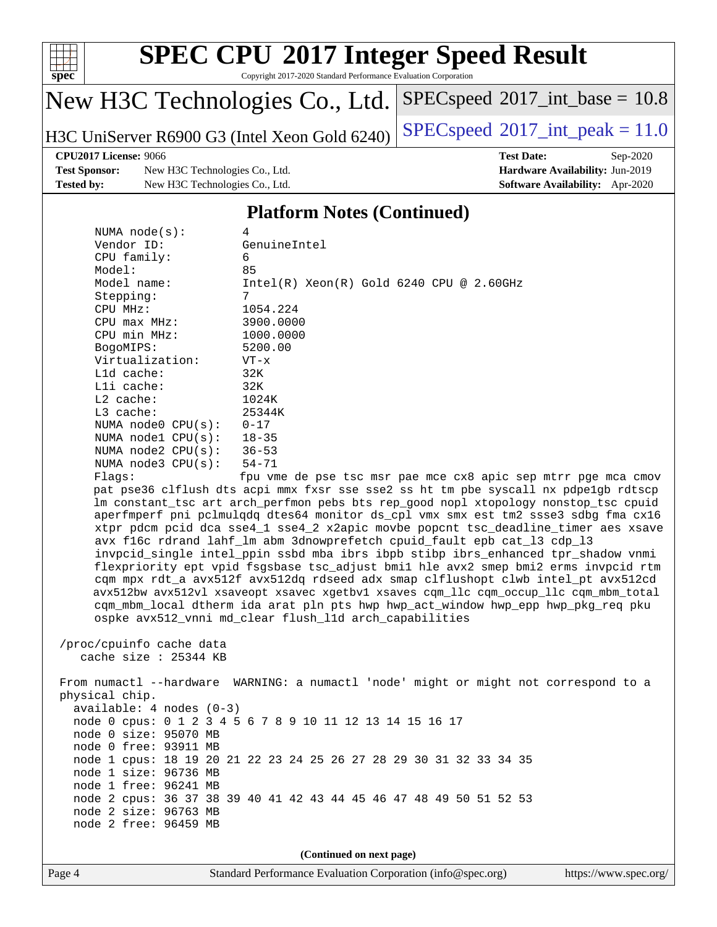

Copyright 2017-2020 Standard Performance Evaluation Corporation

## New H3C Technologies Co., Ltd.

H3C UniServer R6900 G3 (Intel Xeon Gold 6240) [SPECspeed](http://www.spec.org/auto/cpu2017/Docs/result-fields.html#SPECspeed2017intpeak)<sup>®</sup>[2017\\_int\\_peak = 1](http://www.spec.org/auto/cpu2017/Docs/result-fields.html#SPECspeed2017intpeak)1.0

 $SPECspeed^{\circ}2017\_int\_base = 10.8$  $SPECspeed^{\circ}2017\_int\_base = 10.8$ 

### **[CPU2017 License:](http://www.spec.org/auto/cpu2017/Docs/result-fields.html#CPU2017License)** 9066 **[Test Date:](http://www.spec.org/auto/cpu2017/Docs/result-fields.html#TestDate)** Sep-2020

**[Test Sponsor:](http://www.spec.org/auto/cpu2017/Docs/result-fields.html#TestSponsor)** New H3C Technologies Co., Ltd. **[Hardware Availability:](http://www.spec.org/auto/cpu2017/Docs/result-fields.html#HardwareAvailability)** Jun-2019 **[Tested by:](http://www.spec.org/auto/cpu2017/Docs/result-fields.html#Testedby)** New H3C Technologies Co., Ltd. **[Software Availability:](http://www.spec.org/auto/cpu2017/Docs/result-fields.html#SoftwareAvailability)** Apr-2020

### **[Platform Notes \(Continued\)](http://www.spec.org/auto/cpu2017/Docs/result-fields.html#PlatformNotes)**

| NUMA $node(s):$            | 4                                                                                   |
|----------------------------|-------------------------------------------------------------------------------------|
| Vendor ID:                 | GenuineIntel                                                                        |
| CPU family:                | 6                                                                                   |
| Model:                     | 85                                                                                  |
| Model name:                | $Intel(R)$ Xeon $(R)$ Gold 6240 CPU @ 2.60GHz                                       |
| Stepping:                  | 7                                                                                   |
| CPU MHz:                   | 1054.224                                                                            |
| $CPU$ max $MHz$ :          | 3900.0000                                                                           |
| CPU min MHz:               | 1000.0000                                                                           |
| BogoMIPS:                  | 5200.00                                                                             |
| Virtualization:            | $VT - x$                                                                            |
| $L1d$ cache:               | 32K                                                                                 |
| Lli cache:                 | 32K                                                                                 |
| $L2$ cache:                | 1024K                                                                               |
| L3 cache:                  | 25344K                                                                              |
| NUMA node0 $CPU(s): 0-17$  |                                                                                     |
| NUMA nodel CPU(s):         | $18 - 35$                                                                           |
| NUMA node2 $CPU(s):$ 36-53 |                                                                                     |
| NUMA $node3$ $CPU(s):$     | 54-71                                                                               |
| Flaqs:                     | fpu vme de pse tsc msr pae mce cx8 apic sep mtrr pge mca cmov                       |
|                            | pat pse36 clflush dts acpi mmx fxsr sse sse2 ss ht tm pbe syscall nx pdpe1qb rdtscp |
|                            | Im constant tsc art arch perfmon pebs bts rep good nopl xtopology nonstop tsc cpuid |
|                            | aperfmperf pni pclmulgdg dtes64 monitor ds_cpl vmx smx est tm2 ssse3 sdbg fma cx16  |
|                            | xtpr pdcm pcid dca sse4_1 sse4_2 x2apic movbe popcnt tsc_deadline_timer aes xsave   |
|                            | avx f16c rdrand lahf lm abm 3dnowprefetch cpuid fault epb cat 13 cdp 13             |
|                            | invpcid_single intel_ppin ssbd mba ibrs ibpb stibp ibrs_enhanced tpr_shadow vnmi    |
|                            |                                                                                     |

 flexpriority ept vpid fsgsbase tsc\_adjust bmi1 hle avx2 smep bmi2 erms invpcid rtm cqm mpx rdt\_a avx512f avx512dq rdseed adx smap clflushopt clwb intel\_pt avx512cd avx512bw avx512vl xsaveopt xsavec xgetbv1 xsaves cqm\_llc cqm\_occup\_llc cqm\_mbm\_total cqm\_mbm\_local dtherm ida arat pln pts hwp hwp\_act\_window hwp\_epp hwp\_pkg\_req pku ospke avx512\_vnni md\_clear flush\_l1d arch\_capabilities

```
 /proc/cpuinfo cache data
   cache size : 25344 KB
```
 From numactl --hardware WARNING: a numactl 'node' might or might not correspond to a physical chip. available: 4 nodes (0-3) node 0 cpus: 0 1 2 3 4 5 6 7 8 9 10 11 12 13 14 15 16 17 node 0 size: 95070 MB node 0 free: 93911 MB node 1 cpus: 18 19 20 21 22 23 24 25 26 27 28 29 30 31 32 33 34 35 node 1 size: 96736 MB node 1 free: 96241 MB node 2 cpus: 36 37 38 39 40 41 42 43 44 45 46 47 48 49 50 51 52 53 node 2 size: 96763 MB node 2 free: 96459 MB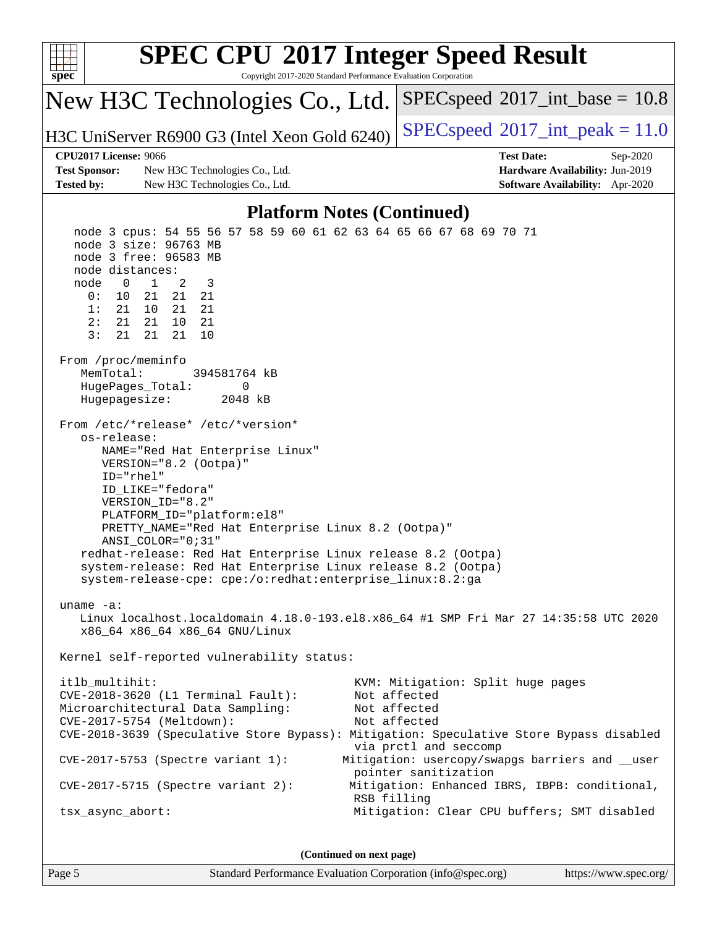| <b>SPEC CPU®2017 Integer Speed Result</b><br>Copyright 2017-2020 Standard Performance Evaluation Corporation<br>$spec^*$                                                                                                                                                                                                                                                                                                                                                                                                                                                                                                                                                                                                                                                                                                                                                                                                                                                                                                                                                                                                                                                                                                                                                                                 |                                                                                                                          |  |  |  |  |  |
|----------------------------------------------------------------------------------------------------------------------------------------------------------------------------------------------------------------------------------------------------------------------------------------------------------------------------------------------------------------------------------------------------------------------------------------------------------------------------------------------------------------------------------------------------------------------------------------------------------------------------------------------------------------------------------------------------------------------------------------------------------------------------------------------------------------------------------------------------------------------------------------------------------------------------------------------------------------------------------------------------------------------------------------------------------------------------------------------------------------------------------------------------------------------------------------------------------------------------------------------------------------------------------------------------------|--------------------------------------------------------------------------------------------------------------------------|--|--|--|--|--|
| New H3C Technologies Co., Ltd.                                                                                                                                                                                                                                                                                                                                                                                                                                                                                                                                                                                                                                                                                                                                                                                                                                                                                                                                                                                                                                                                                                                                                                                                                                                                           | $SPEC speed$ <sup>®</sup> 2017_int_base = 10.8                                                                           |  |  |  |  |  |
| H3C UniServer R6900 G3 (Intel Xeon Gold 6240)                                                                                                                                                                                                                                                                                                                                                                                                                                                                                                                                                                                                                                                                                                                                                                                                                                                                                                                                                                                                                                                                                                                                                                                                                                                            | $SPEC speed^{\circ}2017\_int\_peak = 11.0$                                                                               |  |  |  |  |  |
| <b>CPU2017 License: 9066</b>                                                                                                                                                                                                                                                                                                                                                                                                                                                                                                                                                                                                                                                                                                                                                                                                                                                                                                                                                                                                                                                                                                                                                                                                                                                                             | <b>Test Date:</b><br>Sep-2020                                                                                            |  |  |  |  |  |
| <b>Test Sponsor:</b><br>New H3C Technologies Co., Ltd.<br><b>Tested by:</b><br>New H3C Technologies Co., Ltd.                                                                                                                                                                                                                                                                                                                                                                                                                                                                                                                                                                                                                                                                                                                                                                                                                                                                                                                                                                                                                                                                                                                                                                                            | Hardware Availability: Jun-2019<br>Software Availability: Apr-2020                                                       |  |  |  |  |  |
|                                                                                                                                                                                                                                                                                                                                                                                                                                                                                                                                                                                                                                                                                                                                                                                                                                                                                                                                                                                                                                                                                                                                                                                                                                                                                                          |                                                                                                                          |  |  |  |  |  |
| <b>Platform Notes (Continued)</b><br>node 3 cpus: 54 55 56 57 58 59 60 61 62 63 64 65 66 67 68 69 70 71                                                                                                                                                                                                                                                                                                                                                                                                                                                                                                                                                                                                                                                                                                                                                                                                                                                                                                                                                                                                                                                                                                                                                                                                  |                                                                                                                          |  |  |  |  |  |
| node 3 free: 96583 MB<br>node distances:<br>node<br>$\mathbf 0$<br>$\mathbf{1}$<br>2<br>3<br>21<br>0:<br>10<br>21<br>21<br>1:<br>21<br>10<br>21<br>21<br>2:<br>21<br>21<br>10<br>21<br>3:<br>21<br>21<br>21<br>10<br>From /proc/meminfo<br>MemTotal:<br>394581764 kB<br>HugePages_Total:<br>0<br>Hugepagesize:<br>2048 kB<br>From /etc/*release* /etc/*version*<br>os-release:<br>NAME="Red Hat Enterprise Linux"<br>VERSION="8.2 (Ootpa)"<br>ID="rhel"<br>ID_LIKE="fedora"<br>VERSION_ID="8.2"<br>PLATFORM_ID="platform:el8"<br>PRETTY_NAME="Red Hat Enterprise Linux 8.2 (Ootpa)"<br>ANSI_COLOR="0;31"<br>redhat-release: Red Hat Enterprise Linux release 8.2 (Ootpa)<br>system-release: Red Hat Enterprise Linux release 8.2 (Ootpa)<br>system-release-cpe: cpe:/o:redhat:enterprise_linux:8.2:ga<br>uname $-a$ :<br>Linux localhost.localdomain 4.18.0-193.el8.x86_64 #1 SMP Fri Mar 27 14:35:58 UTC 2020<br>x86_64 x86_64 x86_64 GNU/Linux<br>Kernel self-reported vulnerability status:<br>itlb_multihit:<br>KVM: Mitigation: Split huge pages<br>Not affected<br>CVE-2018-3620 (L1 Terminal Fault):<br>Microarchitectural Data Sampling:<br>Not affected<br>CVE-2017-5754 (Meltdown):<br>Not affected<br>CVE-2018-3639 (Speculative Store Bypass): Mitigation: Speculative Store Bypass disabled |                                                                                                                          |  |  |  |  |  |
|                                                                                                                                                                                                                                                                                                                                                                                                                                                                                                                                                                                                                                                                                                                                                                                                                                                                                                                                                                                                                                                                                                                                                                                                                                                                                                          | via prctl and seccomp                                                                                                    |  |  |  |  |  |
| CVE-2017-5753 (Spectre variant 1):<br>$CVE-2017-5715$ (Spectre variant 2):                                                                                                                                                                                                                                                                                                                                                                                                                                                                                                                                                                                                                                                                                                                                                                                                                                                                                                                                                                                                                                                                                                                                                                                                                               | Mitigation: usercopy/swapgs barriers and __user<br>pointer sanitization<br>Mitigation: Enhanced IBRS, IBPB: conditional, |  |  |  |  |  |
| RSB filling<br>tsx_async_abort:                                                                                                                                                                                                                                                                                                                                                                                                                                                                                                                                                                                                                                                                                                                                                                                                                                                                                                                                                                                                                                                                                                                                                                                                                                                                          | Mitigation: Clear CPU buffers; SMT disabled                                                                              |  |  |  |  |  |
| (Continued on next page)                                                                                                                                                                                                                                                                                                                                                                                                                                                                                                                                                                                                                                                                                                                                                                                                                                                                                                                                                                                                                                                                                                                                                                                                                                                                                 |                                                                                                                          |  |  |  |  |  |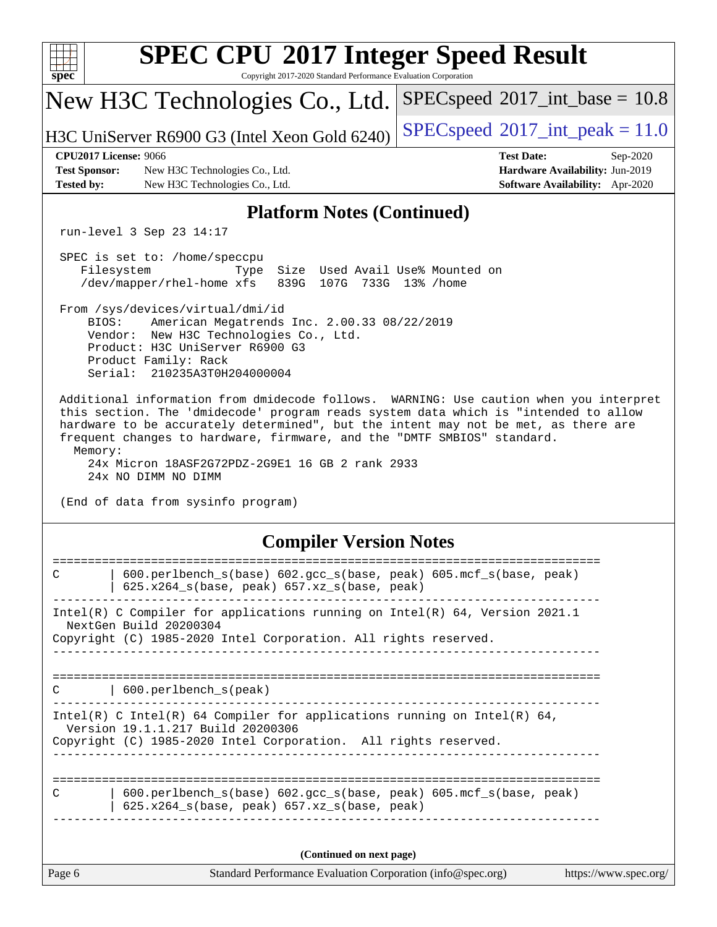| <b>SPEC CPU®2017 Integer Speed Result</b><br>Copyright 2017-2020 Standard Performance Evaluation Corporation<br>$spec^*$                                                                                                                                                                                                                                                                                     |                                                                                                     |  |  |  |  |
|--------------------------------------------------------------------------------------------------------------------------------------------------------------------------------------------------------------------------------------------------------------------------------------------------------------------------------------------------------------------------------------------------------------|-----------------------------------------------------------------------------------------------------|--|--|--|--|
| New H3C Technologies Co., Ltd.                                                                                                                                                                                                                                                                                                                                                                               | $SPEC speed^{\circ}2017\_int\_base = 10.8$                                                          |  |  |  |  |
| H3C UniServer R6900 G3 (Intel Xeon Gold 6240)                                                                                                                                                                                                                                                                                                                                                                | $SPEC speed^{\circ}2017\_int\_peak = 11.0$                                                          |  |  |  |  |
| <b>CPU2017 License: 9066</b><br><b>Test Sponsor:</b><br>New H3C Technologies Co., Ltd.<br><b>Tested by:</b><br>New H3C Technologies Co., Ltd.                                                                                                                                                                                                                                                                | <b>Test Date:</b><br>Sep-2020<br>Hardware Availability: Jun-2019<br>Software Availability: Apr-2020 |  |  |  |  |
| <b>Platform Notes (Continued)</b>                                                                                                                                                                                                                                                                                                                                                                            |                                                                                                     |  |  |  |  |
| run-level 3 Sep 23 14:17                                                                                                                                                                                                                                                                                                                                                                                     |                                                                                                     |  |  |  |  |
| SPEC is set to: /home/speccpu<br>Filesystem<br>Size Used Avail Use% Mounted on<br>Type<br>839G 107G 733G 13% / home<br>/dev/mapper/rhel-home xfs                                                                                                                                                                                                                                                             |                                                                                                     |  |  |  |  |
| From /sys/devices/virtual/dmi/id<br>BIOS:<br>American Megatrends Inc. 2.00.33 08/22/2019<br>Vendor: New H3C Technologies Co., Ltd.<br>Product: H3C UniServer R6900 G3<br>Product Family: Rack<br>Serial: 210235A3T0H204000004                                                                                                                                                                                |                                                                                                     |  |  |  |  |
| Additional information from dmidecode follows. WARNING: Use caution when you interpret<br>this section. The 'dmidecode' program reads system data which is "intended to allow<br>hardware to be accurately determined", but the intent may not be met, as there are<br>frequent changes to hardware, firmware, and the "DMTF SMBIOS" standard.<br>Memory:<br>24x Micron 18ASF2G72PDZ-2G9E1 16 GB 2 rank 2933 |                                                                                                     |  |  |  |  |
| 24x NO DIMM NO DIMM<br>(End of data from sysinfo program)                                                                                                                                                                                                                                                                                                                                                    |                                                                                                     |  |  |  |  |
| <b>Compiler Version Notes</b>                                                                                                                                                                                                                                                                                                                                                                                |                                                                                                     |  |  |  |  |
| $\mathsf{C}$<br>600.perlbench_s(base) 602.gcc_s(base, peak) 605.mcf_s(base, peak)<br>$625.x264_s(base, peak) 657.xz_s(base, peak)$                                                                                                                                                                                                                                                                           |                                                                                                     |  |  |  |  |
| Intel(R) C Compiler for applications running on Intel(R) 64, Version 2021.1<br>NextGen Build 20200304<br>Copyright (C) 1985-2020 Intel Corporation. All rights reserved.                                                                                                                                                                                                                                     |                                                                                                     |  |  |  |  |
|                                                                                                                                                                                                                                                                                                                                                                                                              |                                                                                                     |  |  |  |  |
| 600.perlbench_s(peak)<br>C                                                                                                                                                                                                                                                                                                                                                                                   |                                                                                                     |  |  |  |  |
| Intel(R) C Intel(R) 64 Compiler for applications running on Intel(R) 64,<br>Version 19.1.1.217 Build 20200306<br>Copyright (C) 1985-2020 Intel Corporation. All rights reserved.                                                                                                                                                                                                                             |                                                                                                     |  |  |  |  |
| 600.perlbench_s(base) 602.gcc_s(base, peak) 605.mcf_s(base, peak)<br>C<br>625.x264_s(base, peak) 657.xz_s(base, peak)                                                                                                                                                                                                                                                                                        |                                                                                                     |  |  |  |  |
| (Continued on next page)                                                                                                                                                                                                                                                                                                                                                                                     |                                                                                                     |  |  |  |  |
| Page 6<br>Standard Performance Evaluation Corporation (info@spec.org)                                                                                                                                                                                                                                                                                                                                        | https://www.spec.org/                                                                               |  |  |  |  |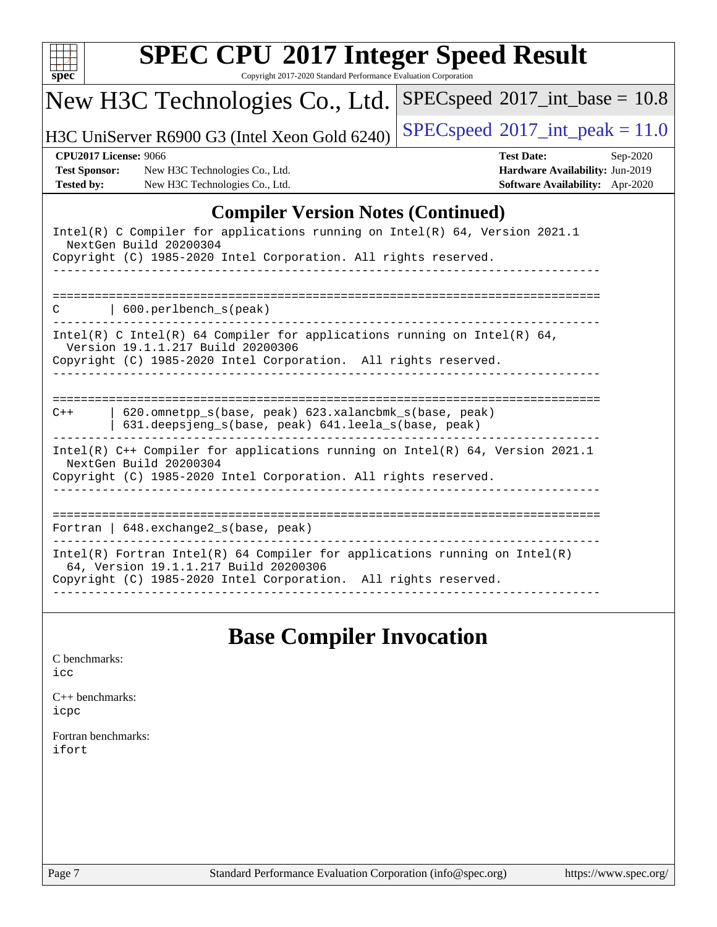|                                                                           | New H3C Technologies Co., Ltd.                                                                                                                                                           | $SPEC speed$ <sup>®</sup> 2017_int_base = 10.8                                                      |
|---------------------------------------------------------------------------|------------------------------------------------------------------------------------------------------------------------------------------------------------------------------------------|-----------------------------------------------------------------------------------------------------|
|                                                                           | H3C UniServer R6900 G3 (Intel Xeon Gold 6240)                                                                                                                                            | $SPEC speed^{\circ}2017\_int\_peak = 11.0$                                                          |
| <b>CPU2017 License: 9066</b><br><b>Test Sponsor:</b><br><b>Tested by:</b> | New H3C Technologies Co., Ltd.<br>New H3C Technologies Co., Ltd.                                                                                                                         | <b>Test Date:</b><br>Sep-2020<br>Hardware Availability: Jun-2019<br>Software Availability: Apr-2020 |
|                                                                           | <b>Compiler Version Notes (Continued)</b>                                                                                                                                                |                                                                                                     |
|                                                                           | Intel(R) C Compiler for applications running on Intel(R) 64, Version 2021.1<br>NextGen Build 20200304<br>Copyright (C) 1985-2020 Intel Corporation. All rights reserved.                 |                                                                                                     |
| C                                                                         | 600.perlbench_s(peak)                                                                                                                                                                    |                                                                                                     |
|                                                                           | $Intel(R)$ C Intel(R) 64 Compiler for applications running on Intel(R) 64,<br>Version 19.1.1.217 Build 20200306<br>Copyright (C) 1985-2020 Intel Corporation. All rights reserved.       |                                                                                                     |
| $C++$                                                                     | 620.omnetpp_s(base, peak) 623.xalancbmk_s(base, peak)<br>631.deepsjeng_s(base, peak) 641.leela_s(base, peak)                                                                             |                                                                                                     |
|                                                                           | Intel(R) C++ Compiler for applications running on Intel(R) 64, Version 2021.1<br>NextGen Build 20200304<br>Copyright (C) 1985-2020 Intel Corporation. All rights reserved.               |                                                                                                     |
|                                                                           | Fortran   648. exchange2_s(base, peak)                                                                                                                                                   |                                                                                                     |
|                                                                           | $Intel(R)$ Fortran Intel(R) 64 Compiler for applications running on Intel(R)<br>64, Version 19.1.1.217 Build 20200306<br>Copyright (C) 1985-2020 Intel Corporation. All rights reserved. |                                                                                                     |

## **[Base Compiler Invocation](http://www.spec.org/auto/cpu2017/Docs/result-fields.html#BaseCompilerInvocation)**

| C benchmarks: |
|---------------|
| icc           |

[C++ benchmarks:](http://www.spec.org/auto/cpu2017/Docs/result-fields.html#CXXbenchmarks) [icpc](http://www.spec.org/cpu2017/results/res2020q4/cpu2017-20200927-24039.flags.html#user_CXXbase_intel_icpc_c510b6838c7f56d33e37e94d029a35b4a7bccf4766a728ee175e80a419847e808290a9b78be685c44ab727ea267ec2f070ec5dc83b407c0218cded6866a35d07)

[Fortran benchmarks](http://www.spec.org/auto/cpu2017/Docs/result-fields.html#Fortranbenchmarks): [ifort](http://www.spec.org/cpu2017/results/res2020q4/cpu2017-20200927-24039.flags.html#user_FCbase_intel_ifort_8111460550e3ca792625aed983ce982f94888b8b503583aa7ba2b8303487b4d8a21a13e7191a45c5fd58ff318f48f9492884d4413fa793fd88dd292cad7027ca)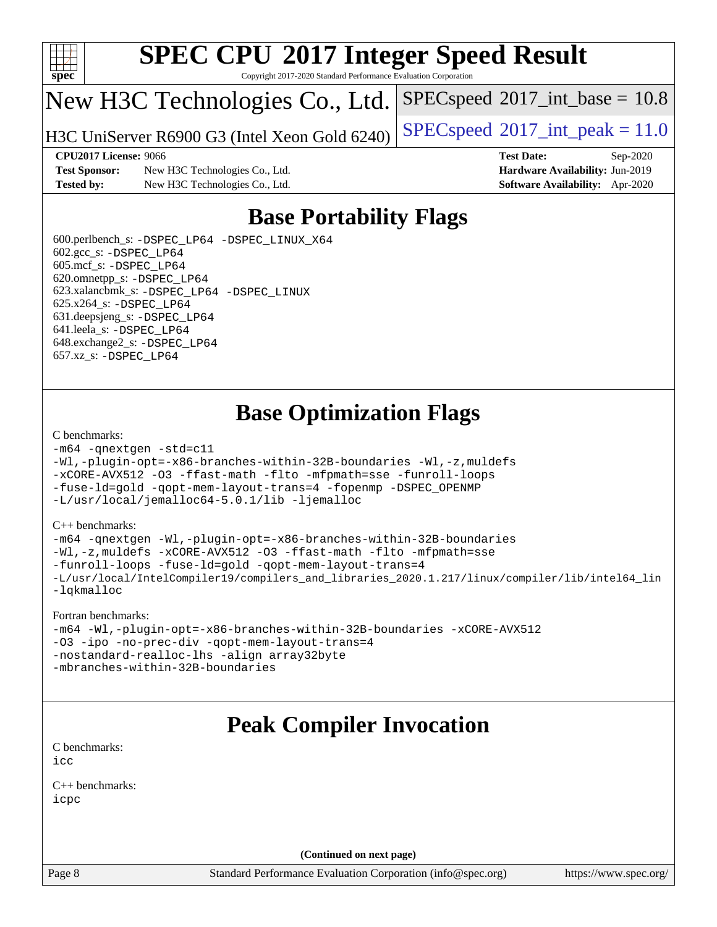

Copyright 2017-2020 Standard Performance Evaluation Corporation

## New H3C Technologies Co., Ltd.

H3C UniServer R6900 G3 (Intel Xeon Gold 6240) [SPECspeed](http://www.spec.org/auto/cpu2017/Docs/result-fields.html#SPECspeed2017intpeak)®2017\_int\_peak =  $11.0$ 

 $SPECspeed^{\circ}2017\_int\_base = 10.8$  $SPECspeed^{\circ}2017\_int\_base = 10.8$ 

### **[CPU2017 License:](http://www.spec.org/auto/cpu2017/Docs/result-fields.html#CPU2017License)** 9066 **[Test Date:](http://www.spec.org/auto/cpu2017/Docs/result-fields.html#TestDate)** Sep-2020

**[Test Sponsor:](http://www.spec.org/auto/cpu2017/Docs/result-fields.html#TestSponsor)** New H3C Technologies Co., Ltd. **[Hardware Availability:](http://www.spec.org/auto/cpu2017/Docs/result-fields.html#HardwareAvailability)** Jun-2019 **[Tested by:](http://www.spec.org/auto/cpu2017/Docs/result-fields.html#Testedby)** New H3C Technologies Co., Ltd. **[Software Availability:](http://www.spec.org/auto/cpu2017/Docs/result-fields.html#SoftwareAvailability)** Apr-2020

## **[Base Portability Flags](http://www.spec.org/auto/cpu2017/Docs/result-fields.html#BasePortabilityFlags)**

 600.perlbench\_s: [-DSPEC\\_LP64](http://www.spec.org/cpu2017/results/res2020q4/cpu2017-20200927-24039.flags.html#b600.perlbench_s_basePORTABILITY_DSPEC_LP64) [-DSPEC\\_LINUX\\_X64](http://www.spec.org/cpu2017/results/res2020q4/cpu2017-20200927-24039.flags.html#b600.perlbench_s_baseCPORTABILITY_DSPEC_LINUX_X64) 602.gcc\_s: [-DSPEC\\_LP64](http://www.spec.org/cpu2017/results/res2020q4/cpu2017-20200927-24039.flags.html#suite_basePORTABILITY602_gcc_s_DSPEC_LP64) 605.mcf\_s: [-DSPEC\\_LP64](http://www.spec.org/cpu2017/results/res2020q4/cpu2017-20200927-24039.flags.html#suite_basePORTABILITY605_mcf_s_DSPEC_LP64) 620.omnetpp\_s: [-DSPEC\\_LP64](http://www.spec.org/cpu2017/results/res2020q4/cpu2017-20200927-24039.flags.html#suite_basePORTABILITY620_omnetpp_s_DSPEC_LP64) 623.xalancbmk\_s: [-DSPEC\\_LP64](http://www.spec.org/cpu2017/results/res2020q4/cpu2017-20200927-24039.flags.html#suite_basePORTABILITY623_xalancbmk_s_DSPEC_LP64) [-DSPEC\\_LINUX](http://www.spec.org/cpu2017/results/res2020q4/cpu2017-20200927-24039.flags.html#b623.xalancbmk_s_baseCXXPORTABILITY_DSPEC_LINUX) 625.x264\_s: [-DSPEC\\_LP64](http://www.spec.org/cpu2017/results/res2020q4/cpu2017-20200927-24039.flags.html#suite_basePORTABILITY625_x264_s_DSPEC_LP64) 631.deepsjeng\_s: [-DSPEC\\_LP64](http://www.spec.org/cpu2017/results/res2020q4/cpu2017-20200927-24039.flags.html#suite_basePORTABILITY631_deepsjeng_s_DSPEC_LP64) 641.leela\_s: [-DSPEC\\_LP64](http://www.spec.org/cpu2017/results/res2020q4/cpu2017-20200927-24039.flags.html#suite_basePORTABILITY641_leela_s_DSPEC_LP64) 648.exchange2\_s: [-DSPEC\\_LP64](http://www.spec.org/cpu2017/results/res2020q4/cpu2017-20200927-24039.flags.html#suite_basePORTABILITY648_exchange2_s_DSPEC_LP64) 657.xz\_s: [-DSPEC\\_LP64](http://www.spec.org/cpu2017/results/res2020q4/cpu2017-20200927-24039.flags.html#suite_basePORTABILITY657_xz_s_DSPEC_LP64)

## **[Base Optimization Flags](http://www.spec.org/auto/cpu2017/Docs/result-fields.html#BaseOptimizationFlags)**

#### [C benchmarks](http://www.spec.org/auto/cpu2017/Docs/result-fields.html#Cbenchmarks):

```
-m64 -qnextgen -std=c11
-Wl,-plugin-opt=-x86-branches-within-32B-boundaries -Wl,-z,muldefs
-xCORE-AVX512 -O3 -ffast-math -flto -mfpmath=sse -funroll-loops
-fuse-ld=gold -qopt-mem-layout-trans=4 -fopenmp -DSPEC_OPENMP
-L/usr/local/jemalloc64-5.0.1/lib -ljemalloc
```
#### [C++ benchmarks:](http://www.spec.org/auto/cpu2017/Docs/result-fields.html#CXXbenchmarks)

```
-m64 -qnextgen -Wl,-plugin-opt=-x86-branches-within-32B-boundaries
-Wl,-z,muldefs -xCORE-AVX512 -O3 -ffast-math -flto -mfpmath=sse
-funroll-loops -fuse-ld=gold -qopt-mem-layout-trans=4
-L/usr/local/IntelCompiler19/compilers_and_libraries_2020.1.217/linux/compiler/lib/intel64_lin
-lqkmalloc
```
#### [Fortran benchmarks:](http://www.spec.org/auto/cpu2017/Docs/result-fields.html#Fortranbenchmarks)

```
-m64 -Wl,-plugin-opt=-x86-branches-within-32B-boundaries -xCORE-AVX512
-O3 -ipo -no-prec-div -qopt-mem-layout-trans=4
-nostandard-realloc-lhs -align array32byte
-mbranches-within-32B-boundaries
```
## **[Peak Compiler Invocation](http://www.spec.org/auto/cpu2017/Docs/result-fields.html#PeakCompilerInvocation)**

[C benchmarks](http://www.spec.org/auto/cpu2017/Docs/result-fields.html#Cbenchmarks): [icc](http://www.spec.org/cpu2017/results/res2020q4/cpu2017-20200927-24039.flags.html#user_CCpeak_intel_icc_66fc1ee009f7361af1fbd72ca7dcefbb700085f36577c54f309893dd4ec40d12360134090235512931783d35fd58c0460139e722d5067c5574d8eaf2b3e37e92)

[C++ benchmarks:](http://www.spec.org/auto/cpu2017/Docs/result-fields.html#CXXbenchmarks) [icpc](http://www.spec.org/cpu2017/results/res2020q4/cpu2017-20200927-24039.flags.html#user_CXXpeak_intel_icpc_c510b6838c7f56d33e37e94d029a35b4a7bccf4766a728ee175e80a419847e808290a9b78be685c44ab727ea267ec2f070ec5dc83b407c0218cded6866a35d07)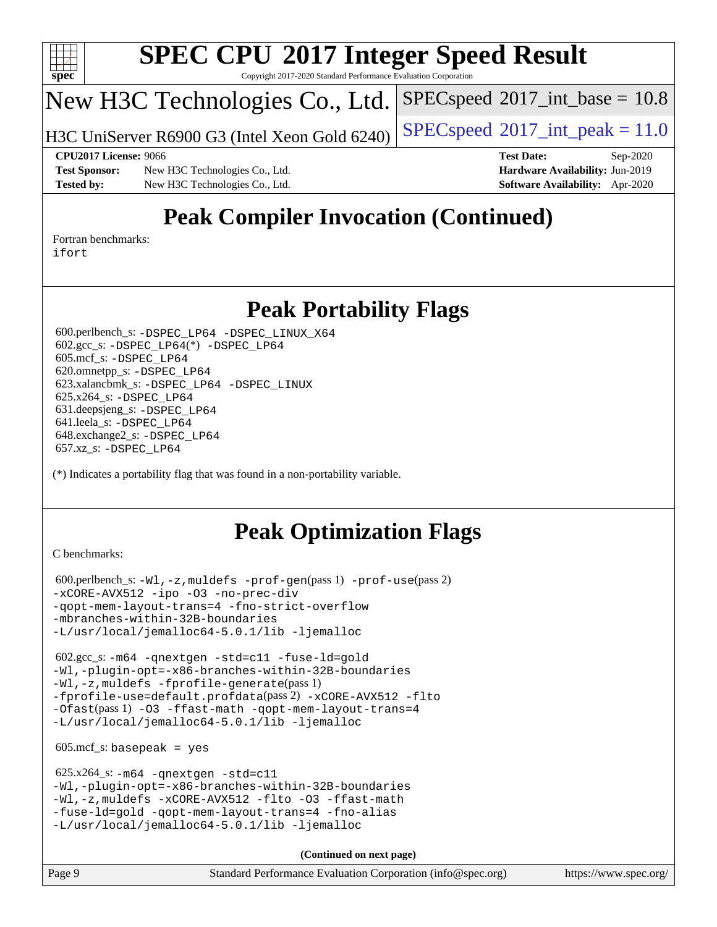

Copyright 2017-2020 Standard Performance Evaluation Corporation

## New H3C Technologies Co., Ltd.

H3C UniServer R6900 G3 (Intel Xeon Gold 6240) [SPECspeed](http://www.spec.org/auto/cpu2017/Docs/result-fields.html#SPECspeed2017intpeak)®2017\_int\_peak =  $11.0$ 

 $SPECspeed^{\circledcirc}2017\_int\_base = 10.8$  $SPECspeed^{\circledcirc}2017\_int\_base = 10.8$ 

**[Test Sponsor:](http://www.spec.org/auto/cpu2017/Docs/result-fields.html#TestSponsor)** New H3C Technologies Co., Ltd. **[Hardware Availability:](http://www.spec.org/auto/cpu2017/Docs/result-fields.html#HardwareAvailability)** Jun-2019 **[Tested by:](http://www.spec.org/auto/cpu2017/Docs/result-fields.html#Testedby)** New H3C Technologies Co., Ltd. **[Software Availability:](http://www.spec.org/auto/cpu2017/Docs/result-fields.html#SoftwareAvailability)** Apr-2020

**[CPU2017 License:](http://www.spec.org/auto/cpu2017/Docs/result-fields.html#CPU2017License)** 9066 **[Test Date:](http://www.spec.org/auto/cpu2017/Docs/result-fields.html#TestDate)** Sep-2020

## **[Peak Compiler Invocation \(Continued\)](http://www.spec.org/auto/cpu2017/Docs/result-fields.html#PeakCompilerInvocation)**

[Fortran benchmarks](http://www.spec.org/auto/cpu2017/Docs/result-fields.html#Fortranbenchmarks): [ifort](http://www.spec.org/cpu2017/results/res2020q4/cpu2017-20200927-24039.flags.html#user_FCpeak_intel_ifort_8111460550e3ca792625aed983ce982f94888b8b503583aa7ba2b8303487b4d8a21a13e7191a45c5fd58ff318f48f9492884d4413fa793fd88dd292cad7027ca)

## **[Peak Portability Flags](http://www.spec.org/auto/cpu2017/Docs/result-fields.html#PeakPortabilityFlags)**

 600.perlbench\_s: [-DSPEC\\_LP64](http://www.spec.org/cpu2017/results/res2020q4/cpu2017-20200927-24039.flags.html#b600.perlbench_s_peakPORTABILITY_DSPEC_LP64) [-DSPEC\\_LINUX\\_X64](http://www.spec.org/cpu2017/results/res2020q4/cpu2017-20200927-24039.flags.html#b600.perlbench_s_peakCPORTABILITY_DSPEC_LINUX_X64) 602.gcc\_s: [-DSPEC\\_LP64](http://www.spec.org/cpu2017/results/res2020q4/cpu2017-20200927-24039.flags.html#suite_peakCCLD602_gcc_s_DSPEC_LP64)(\*) [-DSPEC\\_LP64](http://www.spec.org/cpu2017/results/res2020q4/cpu2017-20200927-24039.flags.html#suite_peakPORTABILITY602_gcc_s_DSPEC_LP64) 605.mcf\_s: [-DSPEC\\_LP64](http://www.spec.org/cpu2017/results/res2020q4/cpu2017-20200927-24039.flags.html#suite_peakPORTABILITY605_mcf_s_DSPEC_LP64) 620.omnetpp\_s: [-DSPEC\\_LP64](http://www.spec.org/cpu2017/results/res2020q4/cpu2017-20200927-24039.flags.html#suite_peakPORTABILITY620_omnetpp_s_DSPEC_LP64) 623.xalancbmk\_s: [-DSPEC\\_LP64](http://www.spec.org/cpu2017/results/res2020q4/cpu2017-20200927-24039.flags.html#suite_peakPORTABILITY623_xalancbmk_s_DSPEC_LP64) [-DSPEC\\_LINUX](http://www.spec.org/cpu2017/results/res2020q4/cpu2017-20200927-24039.flags.html#b623.xalancbmk_s_peakCXXPORTABILITY_DSPEC_LINUX) 625.x264\_s: [-DSPEC\\_LP64](http://www.spec.org/cpu2017/results/res2020q4/cpu2017-20200927-24039.flags.html#suite_peakPORTABILITY625_x264_s_DSPEC_LP64) 631.deepsjeng\_s: [-DSPEC\\_LP64](http://www.spec.org/cpu2017/results/res2020q4/cpu2017-20200927-24039.flags.html#suite_peakPORTABILITY631_deepsjeng_s_DSPEC_LP64) 641.leela\_s: [-DSPEC\\_LP64](http://www.spec.org/cpu2017/results/res2020q4/cpu2017-20200927-24039.flags.html#suite_peakPORTABILITY641_leela_s_DSPEC_LP64) 648.exchange2\_s: [-DSPEC\\_LP64](http://www.spec.org/cpu2017/results/res2020q4/cpu2017-20200927-24039.flags.html#suite_peakPORTABILITY648_exchange2_s_DSPEC_LP64) 657.xz\_s: [-DSPEC\\_LP64](http://www.spec.org/cpu2017/results/res2020q4/cpu2017-20200927-24039.flags.html#suite_peakPORTABILITY657_xz_s_DSPEC_LP64)

(\*) Indicates a portability flag that was found in a non-portability variable.

## **[Peak Optimization Flags](http://www.spec.org/auto/cpu2017/Docs/result-fields.html#PeakOptimizationFlags)**

[C benchmarks](http://www.spec.org/auto/cpu2017/Docs/result-fields.html#Cbenchmarks):

```
 600.perlbench_s: -Wl,-z,muldefs -prof-gen(pass 1) -prof-use(pass 2)
-xCORE-AVX512 -ipo -O3 -no-prec-div
-qopt-mem-layout-trans=4 -fno-strict-overflow
-mbranches-within-32B-boundaries
-L/usr/local/jemalloc64-5.0.1/lib -ljemalloc
```
 602.gcc\_s: [-m64](http://www.spec.org/cpu2017/results/res2020q4/cpu2017-20200927-24039.flags.html#user_peakCCLD602_gcc_s_m64-icc) [-qnextgen](http://www.spec.org/cpu2017/results/res2020q4/cpu2017-20200927-24039.flags.html#user_peakCCLD602_gcc_s_f-qnextgen) [-std=c11](http://www.spec.org/cpu2017/results/res2020q4/cpu2017-20200927-24039.flags.html#user_peakCCLD602_gcc_s_std-icc-std_0e1c27790398a4642dfca32ffe6c27b5796f9c2d2676156f2e42c9c44eaad0c049b1cdb667a270c34d979996257aeb8fc440bfb01818dbc9357bd9d174cb8524) [-fuse-ld=gold](http://www.spec.org/cpu2017/results/res2020q4/cpu2017-20200927-24039.flags.html#user_peakCCLD602_gcc_s_f-fuse-ld_920b3586e2b8c6e0748b9c84fa9b744736ba725a32cab14ad8f3d4ad28eecb2f59d1144823d2e17006539a88734fe1fc08fc3035f7676166309105a78aaabc32) [-Wl,-plugin-opt=-x86-branches-within-32B-boundaries](http://www.spec.org/cpu2017/results/res2020q4/cpu2017-20200927-24039.flags.html#user_peakLDFLAGS602_gcc_s_f-x86-branches-within-32B-boundaries_0098b4e4317ae60947b7b728078a624952a08ac37a3c797dfb4ffeb399e0c61a9dd0f2f44ce917e9361fb9076ccb15e7824594512dd315205382d84209e912f3) [-Wl,-z,muldefs](http://www.spec.org/cpu2017/results/res2020q4/cpu2017-20200927-24039.flags.html#user_peakEXTRA_LDFLAGS602_gcc_s_link_force_multiple1_b4cbdb97b34bdee9ceefcfe54f4c8ea74255f0b02a4b23e853cdb0e18eb4525ac79b5a88067c842dd0ee6996c24547a27a4b99331201badda8798ef8a743f577) [-fprofile-generate](http://www.spec.org/cpu2017/results/res2020q4/cpu2017-20200927-24039.flags.html#user_peakPASS1_CFLAGSPASS1_LDFLAGS602_gcc_s_fprofile-generate)(pass 1) [-fprofile-use=default.profdata](http://www.spec.org/cpu2017/results/res2020q4/cpu2017-20200927-24039.flags.html#user_peakPASS2_CFLAGSPASS2_LDFLAGS602_gcc_s_fprofile-use_56aeee182b92ec249f9670f17c9b8e7d83fe2d25538e35a2cf64c434b579a2235a8b8fc66ef5678d24461366bbab9d486c870d8a72905233fc08e43eefe3cd80)(pass 2) [-xCORE-AVX512](http://www.spec.org/cpu2017/results/res2020q4/cpu2017-20200927-24039.flags.html#user_peakCOPTIMIZEPASS1_CFLAGSPASS1_LDFLAGS602_gcc_s_f-xCORE-AVX512) [-flto](http://www.spec.org/cpu2017/results/res2020q4/cpu2017-20200927-24039.flags.html#user_peakCOPTIMIZEPASS1_CFLAGSPASS1_LDFLAGS602_gcc_s_f-flto) [-Ofast](http://www.spec.org/cpu2017/results/res2020q4/cpu2017-20200927-24039.flags.html#user_peakPASS1_CFLAGSPASS1_LDFLAGS602_gcc_s_f-Ofast)(pass 1) [-O3](http://www.spec.org/cpu2017/results/res2020q4/cpu2017-20200927-24039.flags.html#user_peakCOPTIMIZE602_gcc_s_f-O3) [-ffast-math](http://www.spec.org/cpu2017/results/res2020q4/cpu2017-20200927-24039.flags.html#user_peakCOPTIMIZE602_gcc_s_f-ffast-math) [-qopt-mem-layout-trans=4](http://www.spec.org/cpu2017/results/res2020q4/cpu2017-20200927-24039.flags.html#user_peakCOPTIMIZE602_gcc_s_f-qopt-mem-layout-trans_fa39e755916c150a61361b7846f310bcdf6f04e385ef281cadf3647acec3f0ae266d1a1d22d972a7087a248fd4e6ca390a3634700869573d231a252c784941a8) [-L/usr/local/jemalloc64-5.0.1/lib](http://www.spec.org/cpu2017/results/res2020q4/cpu2017-20200927-24039.flags.html#user_peakEXTRA_LIBS602_gcc_s_jemalloc_link_path64_1_cc289568b1a6c0fd3b62c91b824c27fcb5af5e8098e6ad028160d21144ef1b8aef3170d2acf0bee98a8da324cfe4f67d0a3d0c4cc4673d993d694dc2a0df248b) [-ljemalloc](http://www.spec.org/cpu2017/results/res2020q4/cpu2017-20200927-24039.flags.html#user_peakEXTRA_LIBS602_gcc_s_jemalloc_link_lib_d1249b907c500fa1c0672f44f562e3d0f79738ae9e3c4a9c376d49f265a04b9c99b167ecedbf6711b3085be911c67ff61f150a17b3472be731631ba4d0471706)

 $605.\text{mcf}\text{ s}:$  basepeak = yes

```
 625.x264_s: -m64 -qnextgen -std=c11
-Wl,-plugin-opt=-x86-branches-within-32B-boundaries
-Wl,-z,muldefs -xCORE-AVX512 -flto -O3 -ffast-math
-fuse-ld=gold -qopt-mem-layout-trans=4 -fno-alias
-L/usr/local/jemalloc64-5.0.1/lib -ljemalloc
```